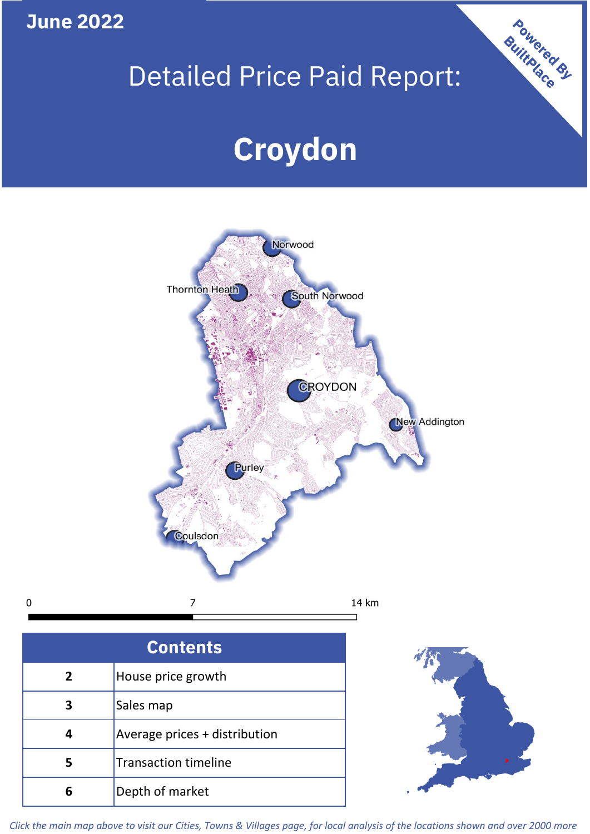

 $\mathbf 0$ 

# Detailed Price Paid Report:

# **Croydon**



| <b>Contents</b> |                               |  |  |
|-----------------|-------------------------------|--|--|
| $\overline{2}$  | House price growth            |  |  |
| 3               | Sales map                     |  |  |
|                 | Average prices + distribution |  |  |
| 5               | <b>Transaction timeline</b>   |  |  |
|                 | Depth of market               |  |  |



Powered By

*Click the main map above to visit our Cities, Towns & Villages page, for local analysis of the locations shown and over 2000 more*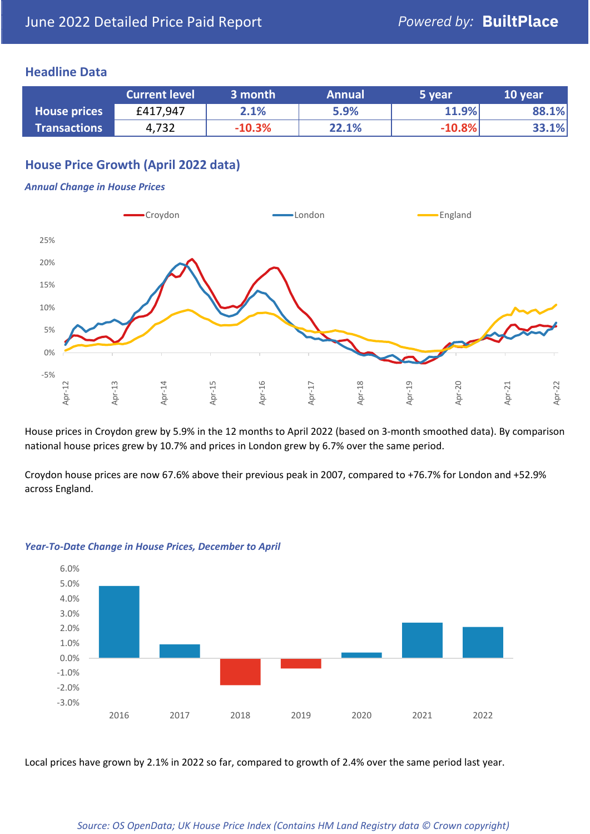#### **Headline Data**

|                     | <b>Current level</b> | 3 month  | <b>Annual</b> | 5 year   | 10 year |
|---------------------|----------------------|----------|---------------|----------|---------|
| <b>House prices</b> | £417,947             | 2.1%     | 5.9%          | 11.9%    | 88.1%   |
| <b>Transactions</b> | 4,732                | $-10.3%$ | 22.1%         | $-10.8%$ | 33.1%   |

# **House Price Growth (April 2022 data)**

#### *Annual Change in House Prices*



House prices in Croydon grew by 5.9% in the 12 months to April 2022 (based on 3-month smoothed data). By comparison national house prices grew by 10.7% and prices in London grew by 6.7% over the same period.

Croydon house prices are now 67.6% above their previous peak in 2007, compared to +76.7% for London and +52.9% across England.



#### *Year-To-Date Change in House Prices, December to April*

Local prices have grown by 2.1% in 2022 so far, compared to growth of 2.4% over the same period last year.

#### *Source: OS OpenData; UK House Price Index (Contains HM Land Registry data © Crown copyright)*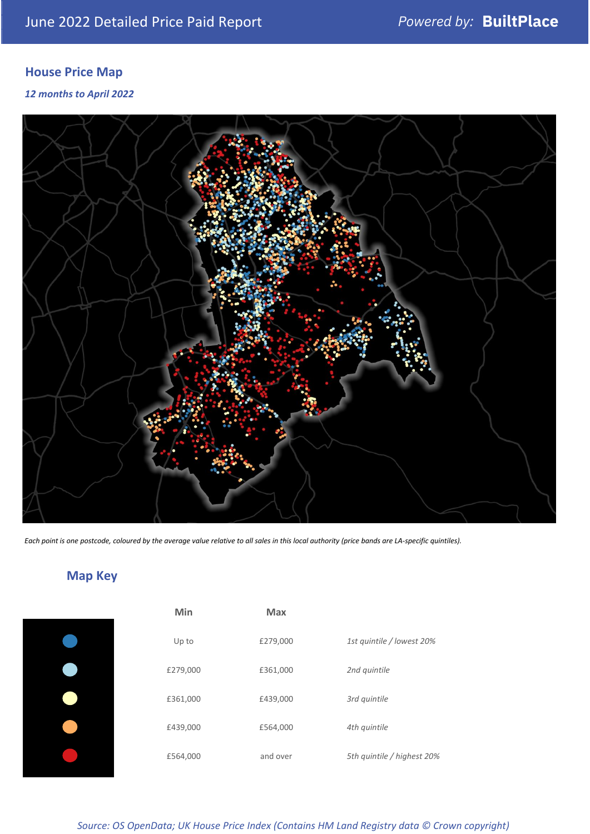# **House Price Map**

*12 months to April 2022*



*Each point is one postcode, coloured by the average value relative to all sales in this local authority (price bands are LA-specific quintiles).*

# **Map Key**

|  | Min      | <b>Max</b> |              |
|--|----------|------------|--------------|
|  | Up to    | £279,000   | 1st quintile |
|  | £279,000 | £361,000   | 2nd quintile |
|  | £361,000 | £439,000   | 3rd quintile |
|  | £439,000 | £564,000   | 4th quintile |
|  | £564,000 | and over   | 5th quintile |
|  |          |            |              |

| Min      | Max      |                            |
|----------|----------|----------------------------|
| Up to    | £279,000 | 1st quintile / lowest 20%  |
| £279,000 | £361,000 | 2nd quintile               |
| £361,000 | £439,000 | 3rd quintile               |
| £439,000 | £564,000 | 4th quintile               |
| £564,000 | and over | 5th quintile / highest 20% |

*Source: OS OpenData; UK House Price Index (Contains HM Land Registry data © Crown copyright)*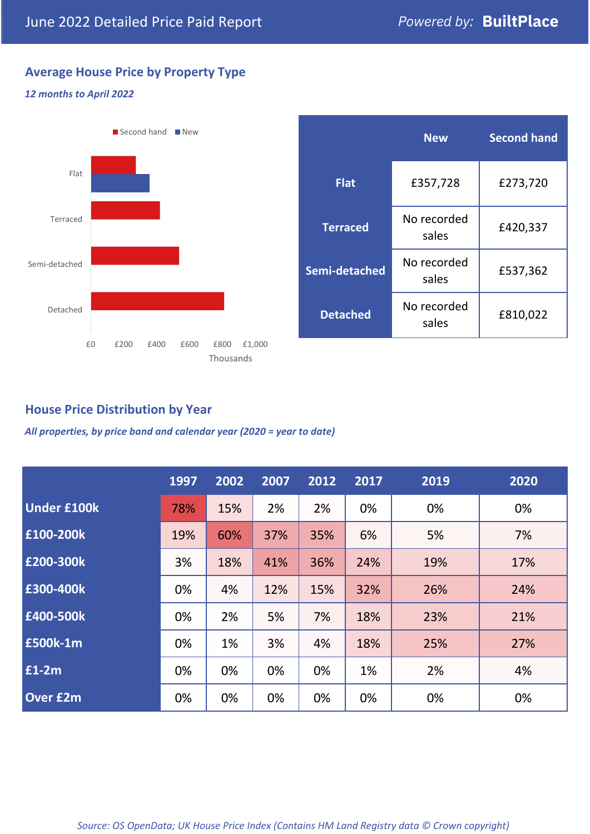# **Average House Price by Property Type**

#### *12 months to April 2022*



|                 | <b>New</b>           | <b>Second hand</b> |  |
|-----------------|----------------------|--------------------|--|
| <b>Flat</b>     | £357,728             | £273,720           |  |
| <b>Terraced</b> | No recorded<br>sales | £420,337           |  |
| Semi-detached   | No recorded<br>sales | £537,362           |  |
| <b>Detached</b> | No recorded<br>sales | £810,022           |  |

### **House Price Distribution by Year**

*All properties, by price band and calendar year (2020 = year to date)*

|                    | 1997 | 2002 | 2007 | 2012 | 2017 | 2019 | 2020 |
|--------------------|------|------|------|------|------|------|------|
| <b>Under £100k</b> | 78%  | 15%  | 2%   | 2%   | 0%   | 0%   | 0%   |
| £100-200k          | 19%  | 60%  | 37%  | 35%  | 6%   | 5%   | 7%   |
| E200-300k          | 3%   | 18%  | 41%  | 36%  | 24%  | 19%  | 17%  |
| £300-400k          | 0%   | 4%   | 12%  | 15%  | 32%  | 26%  | 24%  |
| £400-500k          | 0%   | 2%   | 5%   | 7%   | 18%  | 23%  | 21%  |
| £500k-1m           | 0%   | 1%   | 3%   | 4%   | 18%  | 25%  | 27%  |
| £1-2m              | 0%   | 0%   | 0%   | 0%   | 1%   | 2%   | 4%   |
| <b>Over £2m</b>    | 0%   | 0%   | 0%   | 0%   | 0%   | 0%   | 0%   |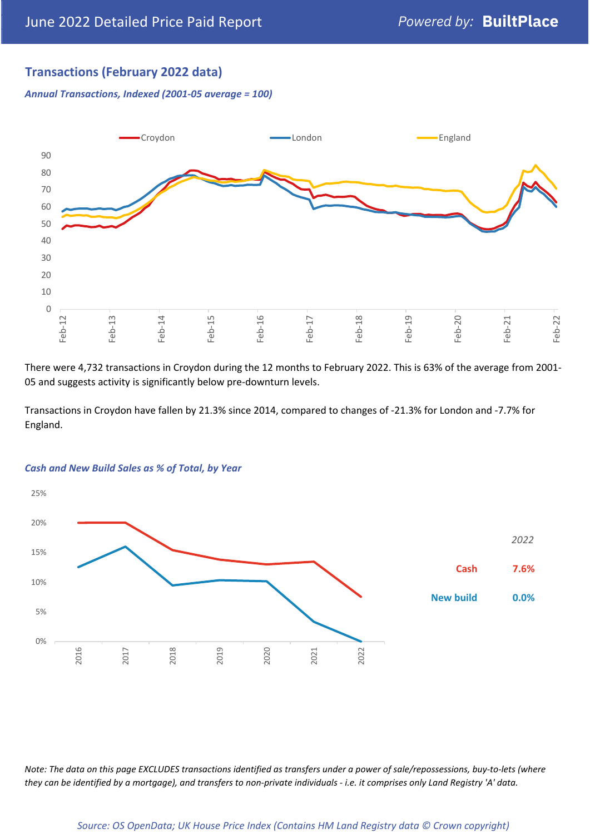## **Transactions (February 2022 data)**

*Annual Transactions, Indexed (2001-05 average = 100)*



There were 4,732 transactions in Croydon during the 12 months to February 2022. This is 63% of the average from 2001- 05 and suggests activity is significantly below pre-downturn levels.

Transactions in Croydon have fallen by 21.3% since 2014, compared to changes of -21.3% for London and -7.7% for England.



#### *Cash and New Build Sales as % of Total, by Year*

*Note: The data on this page EXCLUDES transactions identified as transfers under a power of sale/repossessions, buy-to-lets (where they can be identified by a mortgage), and transfers to non-private individuals - i.e. it comprises only Land Registry 'A' data.*